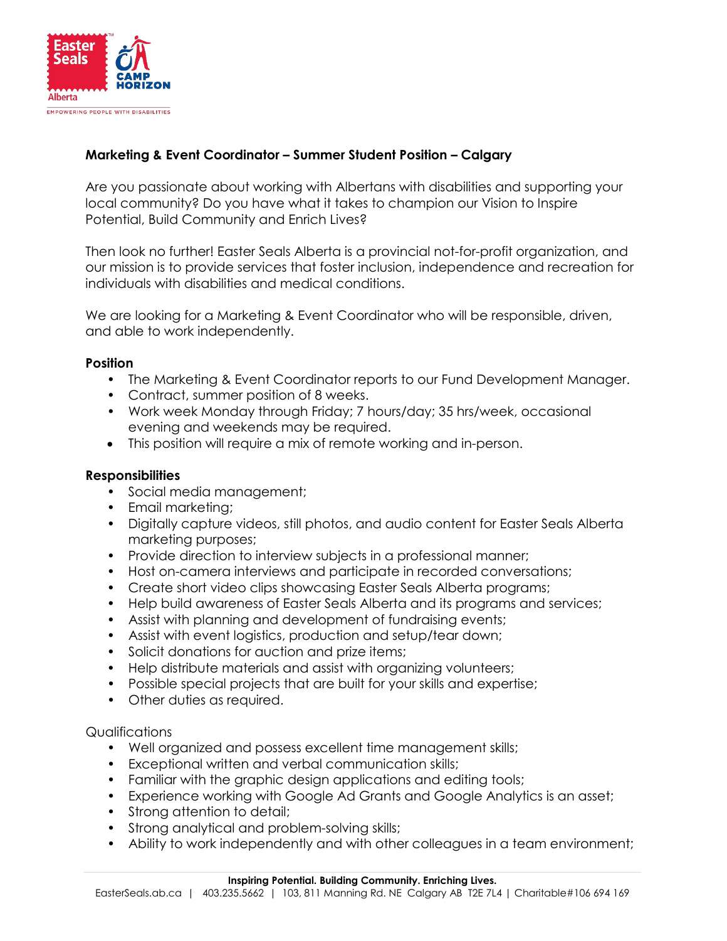

## **Marketing & Event Coordinator – Summer Student Position – Calgary**

Are you passionate about working with Albertans with disabilities and supporting your local community? Do you have what it takes to champion our Vision to Inspire Potential, Build Community and Enrich Lives?

Then look no further! Easter Seals Alberta is a provincial not-for-profit organization, and our mission is to provide services that foster inclusion, independence and recreation for individuals with disabilities and medical conditions.

We are looking for a Marketing & Event Coordinator who will be responsible, driven, and able to work independently.

## **Position**

- The Marketing & Event Coordinator reports to our Fund Development Manager.
- Contract, summer position of 8 weeks.
- Work week Monday through Friday; 7 hours/day; 35 hrs/week, occasional evening and weekends may be required.
- This position will require a mix of remote working and in-person.

## **Responsibilities**

- Social media management;
- Email marketing;
- Digitally capture videos, still photos, and audio content for Easter Seals Alberta marketing purposes;
- Provide direction to interview subjects in a professional manner;
- Host on-camera interviews and participate in recorded conversations;
- Create short video clips showcasing Easter Seals Alberta programs;
- Help build awareness of Easter Seals Alberta and its programs and services;
- Assist with planning and development of fundraising events;
- Assist with event logistics, production and setup/tear down;
- Solicit donations for auction and prize items;
- Help distribute materials and assist with organizing volunteers;
- Possible special projects that are built for your skills and expertise;
- Other duties as required.

## **Qualifications**

- Well organized and possess excellent time management skills;
- Exceptional written and verbal communication skills;
- Familiar with the graphic design applications and editing tools;
- Experience working with Google Ad Grants and Google Analytics is an asset;
- Strong attention to detail;
- Strong analytical and problem-solving skills;
- Ability to work independently and with other colleagues in a team environment;